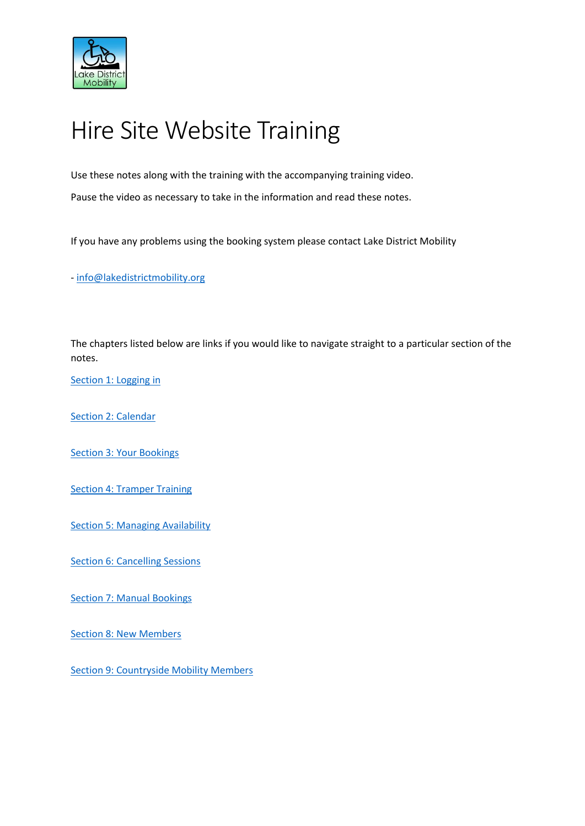

# Hire Site Website Training

Use these notes along with the training with the accompanying training video.

Pause the video as necessary to take in the information and read these notes.

If you have any problems using the booking system please contact Lake District Mobility

- [info@lakedistrictmobility.org](mailto:info@lakedistrictmobility.org)

The chapters listed below are links if you would like to navigate straight to a particular section of the notes.

[Section 1: Logging in](#page-1-0)

[Section 2: Calendar](#page-2-0)

[Section 3: Your Bookings](#page-3-0)

[Section 4: Tramper Training](#page-4-0) 

**[Section 5: Managing Availability](#page-6-0)** 

**[Section 6: Cancelling Sessions](#page-7-0)** 

[Section 7: Manual Bookings](#page-8-0) 

[Section 8: New Members](#page-9-0)

[Section 9: Countryside Mobility Members](#page-10-0)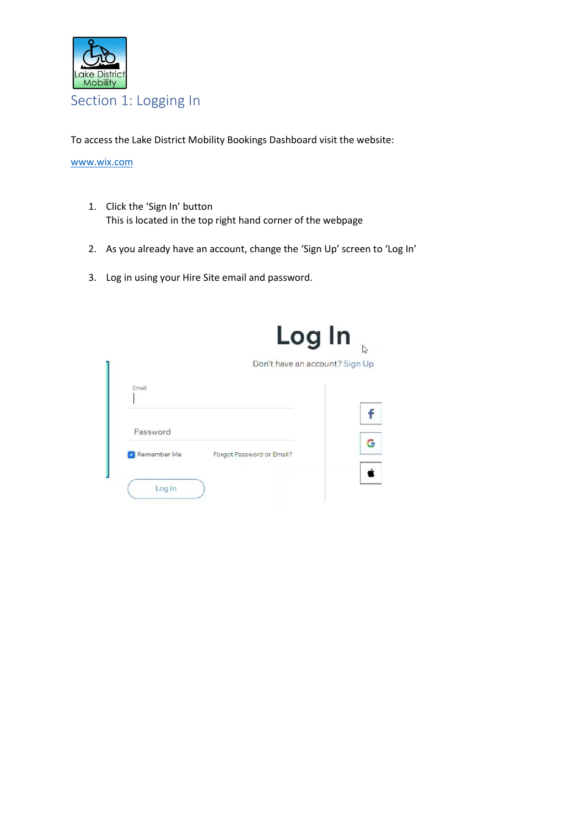

<span id="page-1-0"></span>To access the Lake District Mobility Bookings Dashboard visit the website:

[www.wix.com](http://www.wix.com/)

- 1. Click the 'Sign In' button This is located in the top right hand corner of the webpage
- 2. As you already have an account, change the 'Sign Up' screen to 'Log In'
- 3. Log in using your Hire Site email and password.

|             | Log In                         | $\mathbb{Z}$ |
|-------------|--------------------------------|--------------|
|             | Don't have an account? Sign Up |              |
| Email       |                                |              |
|             |                                |              |
|             |                                |              |
| Password    |                                |              |
| Remember Me | Forgot Password or Email?      |              |
|             |                                |              |
| Log In      |                                |              |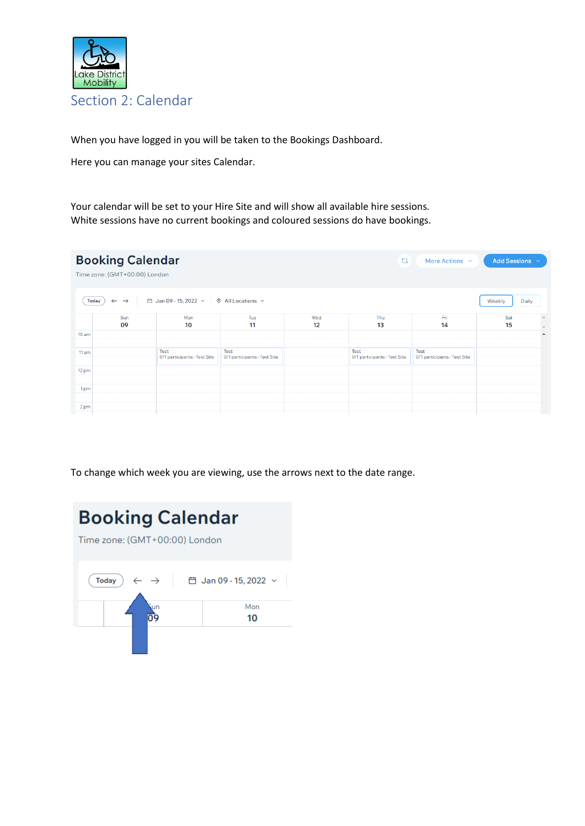

<span id="page-2-0"></span>When you have logged in you will be taken to the Bookings Dashboard.

Here you can manage your sites Calendar.

Your calendar will be set to your Hire Site and will show all available hire sessions. White sessions have no current bookings and coloured sessions do have bookings.

|                  | <b>Booking Calendar</b><br>Time zone: (GMT+00:00) London |                                      |                                      |           | $\mathbb{C}$                         | More Actions $\sim$                  | Add Sessions $\sim$ |                                              |
|------------------|----------------------------------------------------------|--------------------------------------|--------------------------------------|-----------|--------------------------------------|--------------------------------------|---------------------|----------------------------------------------|
| <b>Today</b>     | $\leftarrow$<br>$\rightarrow$                            | <b>曲 Jan 09 - 15, 2022</b> →         | $\odot$ All Locations $\sim$         |           |                                      |                                      | Daily<br>Weekly     |                                              |
|                  | Sun<br>09                                                | Mon<br>10                            | Tue<br>11                            | Wed<br>12 | Thu<br>13                            | Fri<br>14                            | Sat<br>15           | $\blacktriangle$                             |
| 10 <sub>am</sub> |                                                          |                                      |                                      |           |                                      |                                      |                     | $\overline{\phantom{a}}$<br>$\blacktriangle$ |
| 11 am            |                                                          | Test<br>0/1 participants · Test Site | Test<br>0/1 participants - Test Site |           | Test<br>0/1 participants · Test Site | Test<br>0/1 participants - Test Site |                     |                                              |
| 12 pm            |                                                          |                                      |                                      |           |                                      |                                      |                     |                                              |
| 1pm              |                                                          |                                      |                                      |           |                                      |                                      |                     |                                              |
| 2 pm             |                                                          |                                      |                                      |           |                                      |                                      |                     |                                              |

To change which week you are viewing, use the arrows next to the date range.

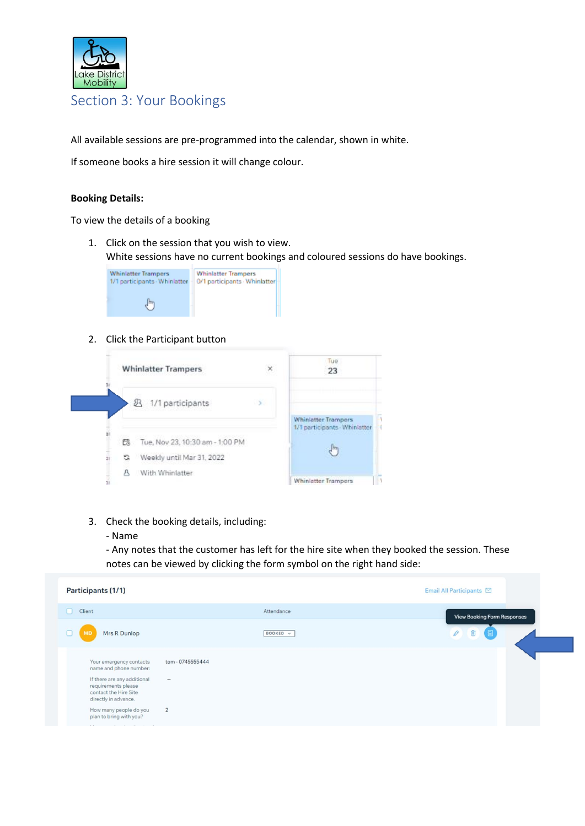

## <span id="page-3-0"></span>Section 3: Your Bookings

All available sessions are pre-programmed into the calendar, shown in white.

If someone books a hire session it will change colour.

#### **Booking Details:**

To view the details of a booking

1. Click on the session that you wish to view. White sessions have no current bookings and coloured sessions do have bookings.



#### 2. Click the Participant button



- 3. Check the booking details, including:
	- Name

- Any notes that the customer has left for the hire site when they booked the session. These notes can be viewed by clicking the form symbol on the right hand side:

| Participants (1/1)                                                                                  |                              | Email All Participants ⊠           |
|-----------------------------------------------------------------------------------------------------|------------------------------|------------------------------------|
| Client<br>n                                                                                         | Attendance                   | <b>View Booking Form Responses</b> |
| Mrs R Dunlop                                                                                        | BOOKED V                     | P<br>e                             |
| Your emergency contacts<br>name and phone number:                                                   | tom - 0745555444             |                                    |
| If there are any additional<br>requirements please<br>contact the Hire Site<br>directly in advance. | $\qquad \qquad \blacksquare$ |                                    |
| How many people do you<br>plan to bring with you?                                                   | $\overline{2}$               |                                    |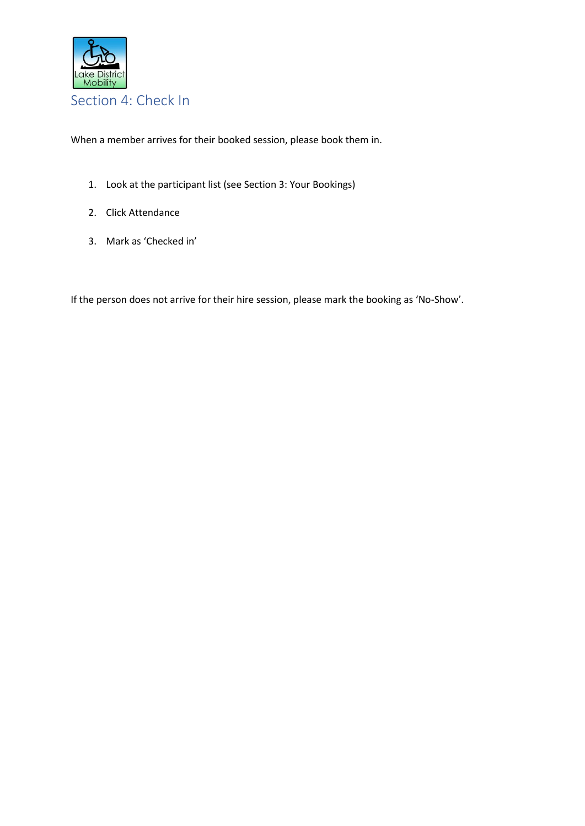

<span id="page-4-0"></span>When a member arrives for their booked session, please book them in.

- 1. Look at the participant list (see Section 3: Your Bookings)
- 2. Click Attendance
- 3. Mark as 'Checked in'

If the person does not arrive for their hire session, please mark the booking as 'No-Show'.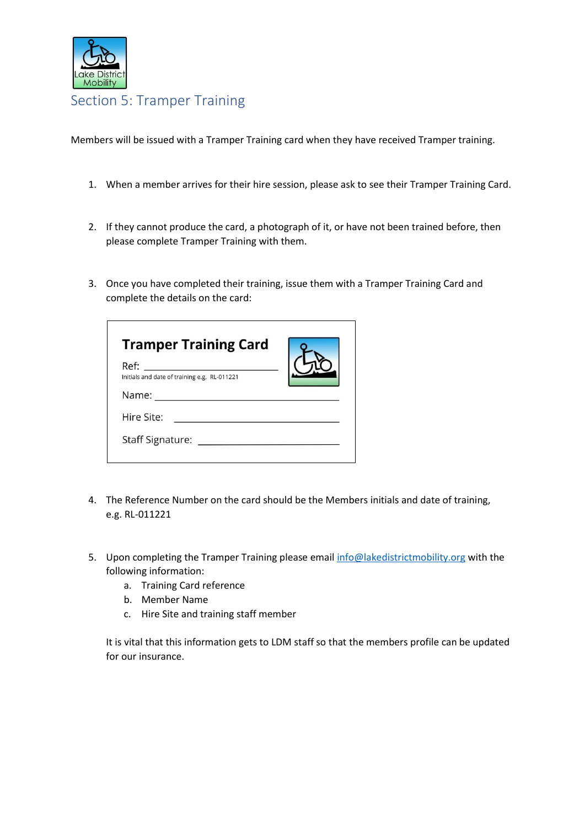

## Section 5: Tramper Training

Members will be issued with a Tramper Training card when they have received Tramper training.

- 1. When a member arrives for their hire session, please ask to see their Tramper Training Card.
- 2. If they cannot produce the card, a photograph of it, or have not been trained before, then please complete Tramper Training with them.
- 3. Once you have completed their training, issue them with a Tramper Training Card and complete the details on the card:

| <b>Tramper Training Card</b>                 |  |
|----------------------------------------------|--|
| Ref:                                         |  |
| Initials and date of training e.g. RL-011221 |  |
| Name:                                        |  |
| Hire Site:                                   |  |
| Staff Signature: Staff Signature:            |  |
|                                              |  |

- 4. The Reference Number on the card should be the Members initials and date of training, e.g. RL-011221
- 5. Upon completing the Tramper Training please email [info@lakedistrictmobility.org](mailto:info@lakedistrictmobility.org) with the following information:
	- a. Training Card reference
	- b. Member Name
	- c. Hire Site and training staff member

It is vital that this information gets to LDM staff so that the members profile can be updated for our insurance.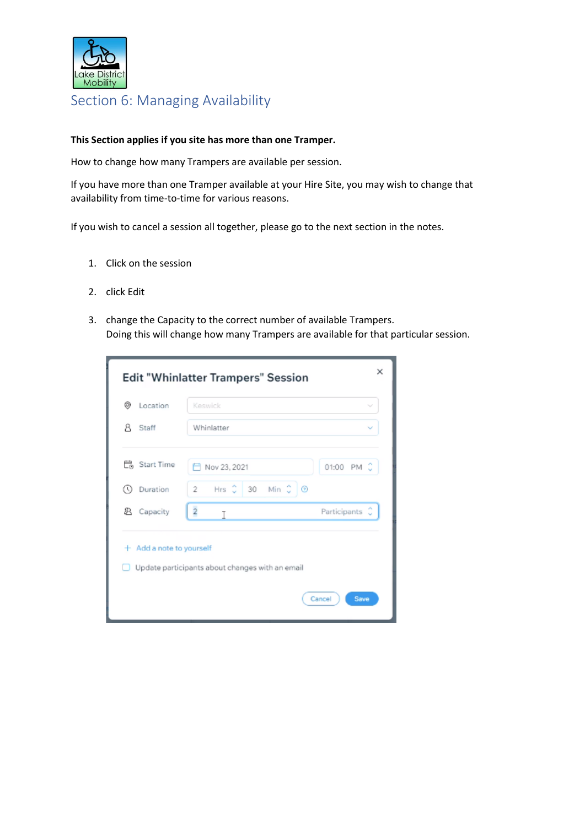

## <span id="page-6-0"></span>Section 6: Managing Availability

#### **This Section applies if you site has more than one Tramper.**

How to change how many Trampers are available per session.

If you have more than one Tramper available at your Hire Site, you may wish to change that availability from time-to-time for various reasons.

If you wish to cancel a session all together, please go to the next section in the notes.

- 1. Click on the session
- 2. click Edit
- 3. change the Capacity to the correct number of available Trampers. Doing this will change how many Trampers are available for that particular session.

| ⊚<br>Location            | Keswick                                         | $\sim$            |
|--------------------------|-------------------------------------------------|-------------------|
| я<br>Staff               | Whinlatter                                      |                   |
| 已。Start Time             | Nov 23, 2021                                    | 01:00 PM C        |
| Duration<br>$\circ$      | Hrs C<br>30 Min 3 0<br>$2 -$                    |                   |
| <b>2</b> Capacity        | $\overline{2}$<br>T                             | Ô<br>Participants |
| + Add a note to yourself | Update participants about changes with an email |                   |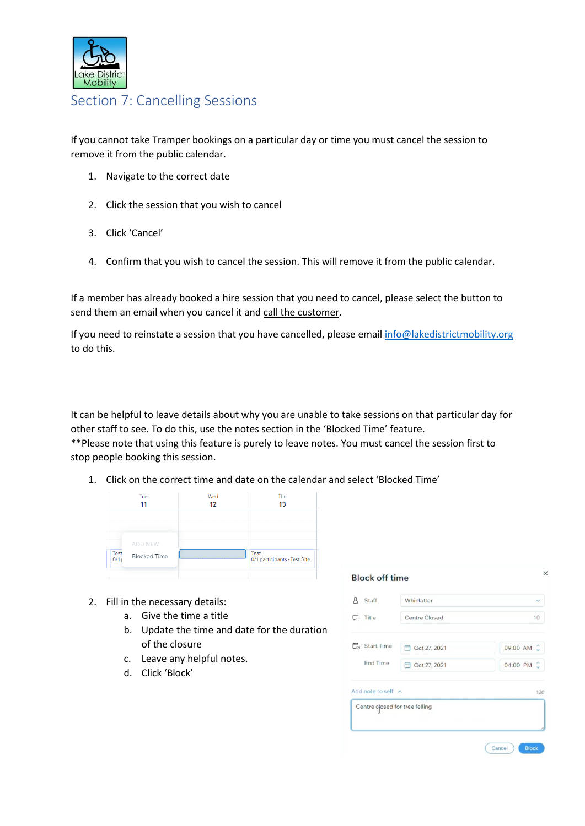

### <span id="page-7-0"></span>Section 7: Cancelling Sessions

If you cannot take Tramper bookings on a particular day or time you must cancel the session to remove it from the public calendar.

- 1. Navigate to the correct date
- 2. Click the session that you wish to cancel
- 3. Click 'Cancel'
- 4. Confirm that you wish to cancel the session. This will remove it from the public calendar.

If a member has already booked a hire session that you need to cancel, please select the button to send them an email when you cancel it and call the customer.

If you need to reinstate a session that you have cancelled, please emai[l info@lakedistrictmobility.org](mailto:info@lakedistrictmobility.org) to do this.

It can be helpful to leave details about why you are unable to take sessions on that particular day for other staff to see. To do this, use the notes section in the 'Blocked Time' feature. \*\*Please note that using this feature is purely to leave notes. You must cancel the session first to stop people booking this session.

1. Click on the correct time and date on the calendar and select 'Blocked Time'



- 2. Fill in the necessary details:
	- a. Give the time a title
	- b. Update the time and date for the duration of the closure
	- c. Leave any helpful notes.
	- d. Click 'Block'

| Staff<br>λ                       | Whinlatter     | $\checkmark$  |
|----------------------------------|----------------|---------------|
| Title                            | Centre Closed  | 10            |
| <b>L</b> <sub>o</sub> Start Time | □ Oct 27, 2021 | 09:00 AM C    |
| <b>End Time</b>                  | □ Oct 27, 2021 | Ĉ<br>04:00 PM |
| Add note to self $\land$         |                | 120           |
| Centre closed for tree felling   |                |               |
|                                  |                |               |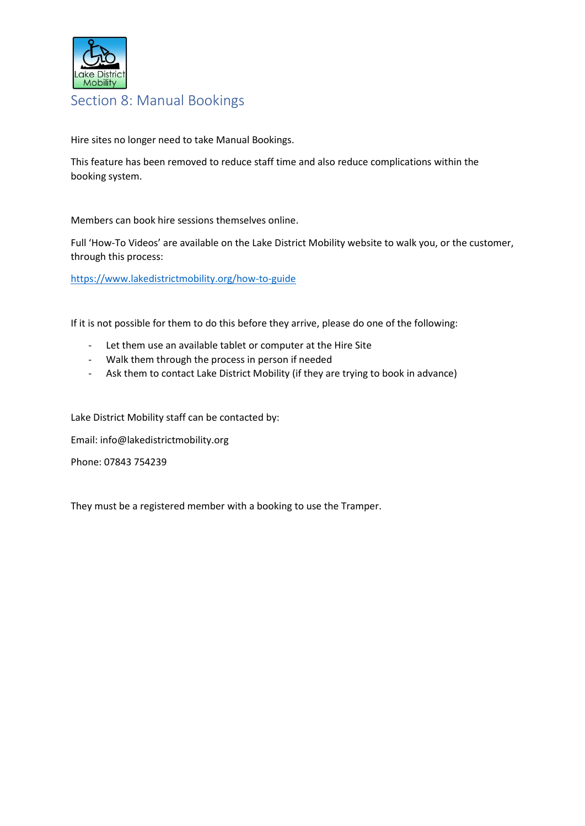

#### <span id="page-8-0"></span>Section 8: Manual Bookings

Hire sites no longer need to take Manual Bookings.

This feature has been removed to reduce staff time and also reduce complications within the booking system.

Members can book hire sessions themselves online.

Full 'How-To Videos' are available on the Lake District Mobility website to walk you, or the customer, through this process:

<https://www.lakedistrictmobility.org/how-to-guide>

If it is not possible for them to do this before they arrive, please do one of the following:

- Let them use an available tablet or computer at the Hire Site
- Walk them through the process in person if needed
- Ask them to contact Lake District Mobility (if they are trying to book in advance)

Lake District Mobility staff can be contacted by:

Email: info@lakedistrictmobility.org

Phone: 07843 754239

They must be a registered member with a booking to use the Tramper.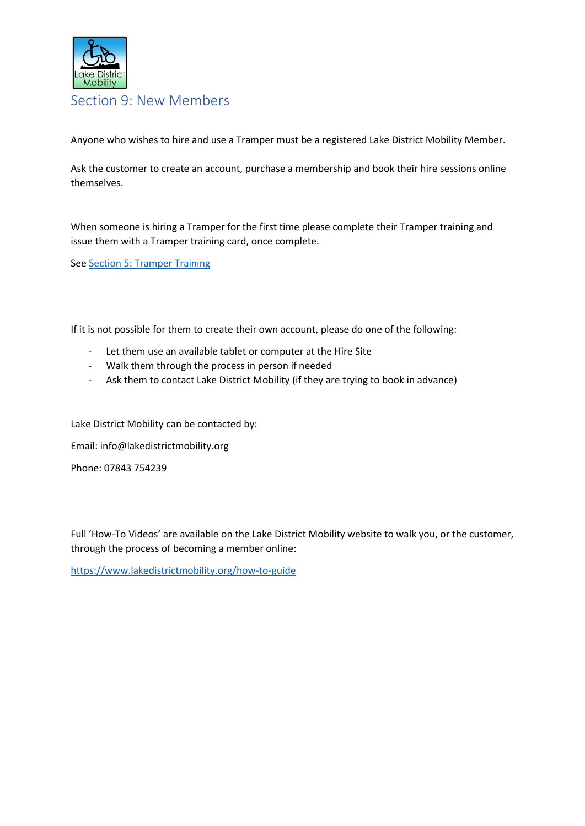

<span id="page-9-0"></span>Section 9: New Members

Anyone who wishes to hire and use a Tramper must be a registered Lake District Mobility Member.

Ask the customer to create an account, purchase a membership and book their hire sessions online themselves.

When someone is hiring a Tramper for the first time please complete their Tramper training and issue them with a Tramper training card, once complete.

Se[e Section 5: Tramper Training](#page-4-0)

If it is not possible for them to create their own account, please do one of the following:

- Let them use an available tablet or computer at the Hire Site
- Walk them through the process in person if needed
- Ask them to contact Lake District Mobility (if they are trying to book in advance)

Lake District Mobility can be contacted by:

Email: info@lakedistrictmobility.org

Phone: 07843 754239

Full 'How-To Videos' are available on the Lake District Mobility website to walk you, or the customer, through the process of becoming a member online:

<https://www.lakedistrictmobility.org/how-to-guide>